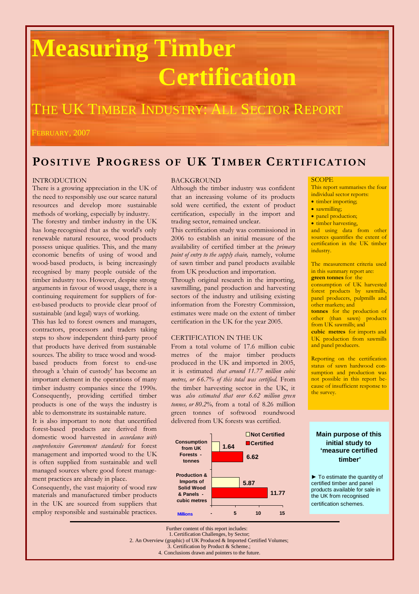# **Measuring Timber Certification**

### THE UK TIMBER INDUSTRY: ALL SECTOR REPORT

FEBRUARY, 2007

### **PO SIT IV E PRO GR ESS OF UK TI M BER CE RTIFI CATION**

#### INTRODUCTION

There is a growing appreciation in the UK of the need to responsibly use our scarce natural resources and develop more sustainable methods of working, especially by industry.

The forestry and timber industry in the UK has long-recognised that as the world's only renewable natural resource, wood products possess unique qualities. This, and the many economic benefits of using of wood and wood-based products, is being increasingly recognised by many people outside of the timber industry too. However, despite strong arguments in favour of wood usage, there is a continuing requirement for suppliers of forest-based products to provide clear proof of sustainable (and legal) ways of working.

This has led to forest owners and managers, contractors, processors and traders taking steps to show independent third-party proof that products have derived from sustainable sources. The ability to trace wood and woodbased products from forest to end-use through a 'chain of custody' has become an important element in the operations of many timber industry companies since the 1990s. Consequently, providing certified timber products is one of the ways the industry is able to demonstrate its sustainable nature.

It is also important to note that uncertified forest-based products are derived from domestic wood harvested in *accordance with comprehensive Government standards* for forest management and imported wood to the UK is often supplied from sustainable and well managed sources where good forest management practices are already in place.

Consequently, the vast majority of wood raw materials and manufactured timber products in the UK are sourced from suppliers that employ responsible and sustainable practices.

#### **BACKGROUND**

Although the timber industry was confident that an increasing volume of its products sold were certified, the extent of product certification, especially in the import and trading sector, remained unclear.

This certification study was commissioned in 2006 to establish an initial measure of the availability of certified timber at the *primary point of entry to the supply chain,* namely, volume of sawn timber and panel products available from UK production and importation.

Through original research in the importing, sawmilling, panel production and harvesting sectors of the industry and utilising existing information from the Forestry Commission, estimates were made on the extent of timber certification in the UK for the year 2005.

#### CERTIFICATION IN THE UK

From a total volume of 17.6 million cubic metres of the major timber products produced in the UK and imported in 2005, it is estimated *that around 11.77 million cubic metres, or 66.7% of this total was certified.* From the timber harvesting sector in the UK, it was *also estimated that over 6.62 million green tonnes, or 80.2%,* from a total of 8.26 million green tonnes of softwood roundwood delivered from UK forests was certified.



#### **SCOPE**

This report summarises the four individual sector reports:

- timber importing;
- sawmilling;
- panel production;
- timber harvesting,

and using data from other sources quantifies the extent of certification in the UK timber industry.

The measurement criteria used in this summary report are: **green tonnes** for the

consumption of UK harvested forest products by sawmills, panel producers, pulpmills and other markets; and

**tonnes** for the production of other (than sawn) products from UK sawmills; and **cubic metres** for imports and UK production from sawmills and panel producers.

Reporting on the certification status of sawn hardwood consumption and production was not possible in this report because of insufficient response to the survey.

#### **Main purpose of this initial study to 'measure certified timber'**

► To estimate the quantity of certified timber and panel products available for sale in the UK from recognised certification schemes.

Further content of this report includes: 1. Certification Challenges, by Sector; 2. An Overview (graphic) of UK Produced & Imported Certified Volumes; Certification by Product & Scheme.; 4. Conclusions drawn and pointers to the future.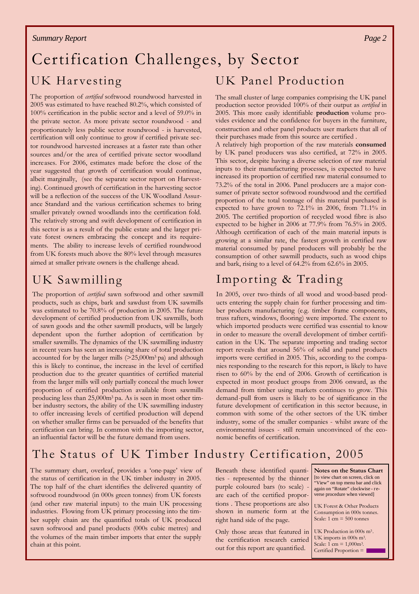#### *Summary Report*

### Certification Challenges, by Sector UK Harvesting UK Panel Production

The proportion of *certified* softwood roundwood harvested in 2005 was estimated to have reached 80.2%, which consisted of 100% certification in the public sector and a level of 59.0% in the private sector. As more private sector roundwood - and proportionately less public sector roundwood - is harvested, certification will only continue to grow if certified private sector roundwood harvested increases at a faster rate than other sources and/or the area of certified private sector woodland increases. For 2006, estimates made before the close of the year suggested that growth of certification would continue, albeit marginally, (see the separate sector report on Harvesting). Continued growth of certification in the harvesting sector will be a reflection of the success of the UK Woodland Assurance Standard and the various certification schemes to bring smaller privately owned woodlands into the certification fold. The relatively strong and swift development of certification in this sector is as a result of the public estate and the larger private forest owners embracing the concept and its requirements. The ability to increase levels of certified roundwood from UK forests much above the 80% level through measures aimed at smaller private owners is the challenge ahead.

### UK Sawmilling

The proportion of *certified* sawn softwood and other sawmill products, such as chips, bark and sawdust from UK sawmills was estimated to be 70.8% of production in 2005. The future development of certified production from UK sawmills, both of sawn goods and the other sawmill products, will be largely dependent upon the further adoption of certification by smaller sawmills. The dynamics of the UK sawmilling industry in recent years has seen an increasing share of total production accounted for by the larger mills (>25,000m<sup>3</sup> pa) and although this is likely to continue, the increase in the level of certified production due to the greater quantities of certified material from the larger mills will only partially conceal the much lower proportion of certified production available from sawmills producing less than 25,000m<sup>3</sup> pa. As is seen in most other timber industry sectors, the ability of the UK sawmilling industry to offer increasing levels of certified production will depend on whether smaller firms can be persuaded of the benefits that certification can bring. In common with the importing sector, an influential factor will be the future demand from users.

The small cluster of large companies comprising the UK panel production sector provided 100% of their output as *certified* in 2005. This more easily identifiable **production** volume provides evidence and the confidence for buyers in the furniture, construction and other panel products user markets that all of their purchases made from this source are certified .

A relatively high proportion of the raw materials **consumed** by UK panel producers was also certified, at 72% in 2005. This sector, despite having a diverse selection of raw material inputs to their manufacturing processes, is expected to have increased its proportion of certified raw material consumed to 73.2% of the total in 2006. Panel producers are a major consumer of private sector softwood roundwood and the certified proportion of the total tonnage of this material purchased is expected to have grown to 72.1% in 2006, from 71.1% in 2005. The certified proportion of recycled wood fibre is also expected to be higher in 2006 at 77.9% from 76.5% in 2005. Although certification of each of the main material inputs is growing at a similar rate, the fastest growth in certified raw material consumed by panel producers will probably be the consumption of other sawmill products, such as wood chips and bark, rising to a level of 64.2% from 62.6% in 2005.

### Importing & Trading

In 2005, over two-thirds of all wood and wood-based products entering the supply chain for further processing and timber products manufacturing (e.g. timber frame components, truss rafters, windows, flooring) were imported. The extent to which imported products were certified was essential to know in order to measure the overall development of timber certification in the UK. The separate importing and trading sector report reveals that around 56% of solid and panel products imports were certified in 2005. This, according to the companies responding to the research for this report, is likely to have risen to 60% by the end of 2006. Growth of certification is expected in most product groups from 2006 onward, as the demand from timber using markets continues to grow. This demand-pull from users is likely to be of significance in the future development of certification in this sector because, in common with some of the other sectors of the UK timber industry, some of the smaller companies - whilst aware of the environmental issues - still remain unconvinced of the economic benefits of certification.

### The Status of UK Timber Industry Certification, 2005

The summary chart, overleaf, provides a 'one-page' view of the status of certification in the UK timber industry in 2005. The top half of the chart identifies the delivered quantity of softwood roundwood (in 000s green tonnes) from UK forests (and other raw material inputs) to the main UK processing industries. Flowing from UK primary processing into the timber supply chain are the quantified totals of UK produced sawn softwood and panel products (000s cubic metres) and the volumes of the main timber imports that enter the supply chain at this point.

Beneath these identified quantities - represented by the thinner purple coloured bars (to scale) are each of the certified proportions . These proportions are also shown in numeric form at the right hand side of the page.

Only those areas that featured in the certification research carried out for this report are quantified.

**Notes on the Status Chart** [to view chart on screen, click on View" on top menu bar and click again on "Rotate" clockwise - reverse procedure when viewed]

UK Forest & Other Products Consumption in 000s tonnes. Scale:  $1 \text{ cm} = 500 \text{ tonnes}$ 

UK Production in 000s m<sup>3</sup>. UK imports in 000s m<sup>3</sup>. Scale:  $1 \text{ cm} = 1,000 \text{ m}^3$ . Certified Proportion =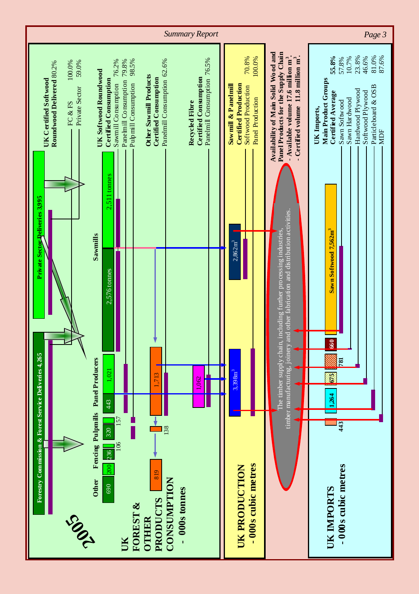